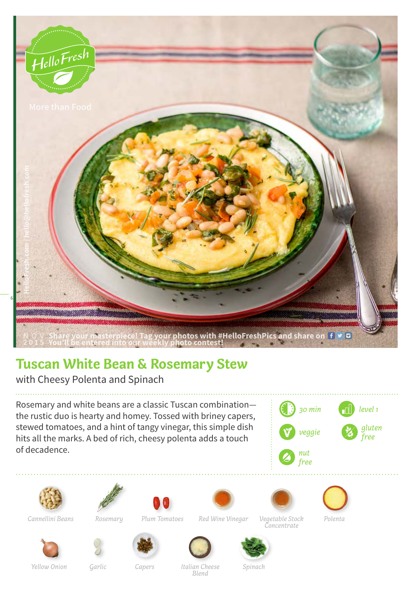

## **Tuscan White Bean & Rosemary Stew**

with Cheesy Polenta and Spinach

Rosemary and white beans are a classic Tuscan combination the rustic duo is hearty and homey. Tossed with briney capers, stewed tomatoes, and a hint of tangy vinegar, this simple dish hits all the marks. A bed of rich, cheesy polenta adds a touch of decadence.









*Plum Tomatoes Vegetable Stock Polenta Cannellini Beans Rosemary Red Wine Vinegar*





*Concentrate*











*Capers Italian Cheese Yellow Onion Garlic SpinachBlend*